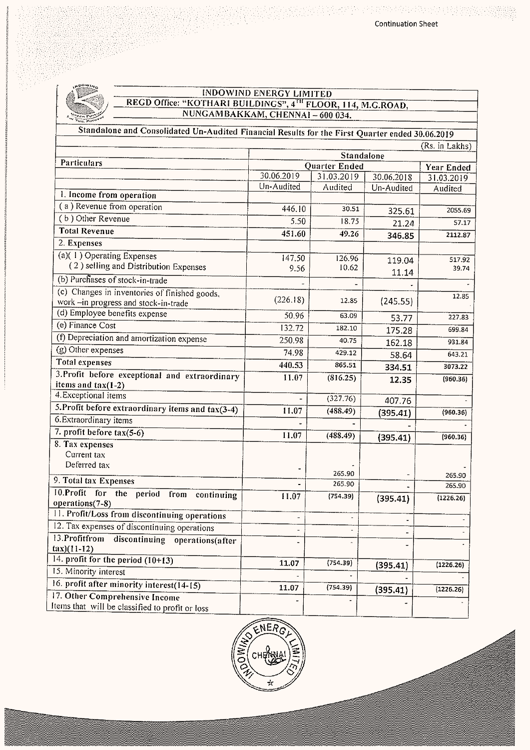

## INDOWIND ENERGY LIMITED<br>REGD Office: "KOTHARI BUILDINGS", 4<sup>TH</sup> FLOOR, 114, M.G.ROAD,<br>NUNGAMBAKKAM, CHENNAI – 600 034.

Standalone and Consolidated Un-Audited Financial Results for the First Quarter ended 30.06.2019

|                                                                             | (KS. IN LAKNS)                            |                |                          |                       |  |
|-----------------------------------------------------------------------------|-------------------------------------------|----------------|--------------------------|-----------------------|--|
| Particulars                                                                 | Standalone                                |                |                          |                       |  |
|                                                                             | Quarter Ended<br>30.06.2019<br>31.03.2019 |                |                          | Year Ended            |  |
|                                                                             | Un-Audited                                | Audited        | 30.06.2018<br>Un-Audited | 31.03.2019<br>Audited |  |
| 1. Income from operation                                                    |                                           |                |                          |                       |  |
| (a) Revenue from operation                                                  | 446.10                                    | 30.51          | 325.61                   | 2055.69               |  |
| (b) Other Revenue                                                           | 5.50                                      | 18.75          | 21.24                    | 57.17                 |  |
| <b>Total Revenue</b>                                                        | 451.60                                    | 49.26          | 346.85                   | 2112.87               |  |
| 2. Expenses                                                                 |                                           |                |                          |                       |  |
| $(a)(1)$ Operating Expenses                                                 | 147.50                                    | 126.96         | 119.04                   | 517.92                |  |
| (2) selling and Distribution Expenses                                       | 9.56                                      | 10.62          | 11.14                    | 39.74                 |  |
| (b) Purchases of stock-in-trade                                             |                                           |                |                          |                       |  |
| (c) Changes in inventories of finished goods,                               |                                           |                |                          | 12.85                 |  |
| work -in progress and stock-in-trade                                        | (226.18)                                  | 12.85          | (245.55)                 |                       |  |
| (d) Employee benefits expense                                               | 50.96                                     | 63.09          | 53.77                    | 227.83                |  |
| (e) Finance Cost                                                            | 132.72                                    | 182.10         | 175.28                   | 699.84                |  |
| (f) Depreciation and amortization expense                                   | 250.98                                    | 40.75          | 162.18                   | 931.84                |  |
| (g) Other expenses                                                          | 74.98                                     | 429.12         | 58.64                    | 643.21                |  |
| <b>Total expenses</b>                                                       | 440.53                                    | 865.51         | 334.51                   | 3073.22               |  |
| 3. Profit before exceptional and extraordinary                              | 11.07                                     | (816.25)       | 12.35                    | (960.36)              |  |
| items and $tax(1-2)$<br>4. Exceptional items                                |                                           |                |                          |                       |  |
|                                                                             |                                           | (327.76)       | 407.76                   |                       |  |
| 5. Profit before extraordinary items and tax(3-4)<br>6. Extraordinary items | 11.07                                     | (488.49)       | (395.41)                 | (960.36)              |  |
|                                                                             |                                           |                |                          |                       |  |
| 7. profit before $tax(5-6)$                                                 | 11.07                                     | (488.49)       | (395.41)                 | (960.36)              |  |
| 8. Tax expenses<br>Current tax                                              |                                           |                |                          |                       |  |
| Deferred tax                                                                |                                           |                |                          |                       |  |
|                                                                             |                                           | 265.90         |                          | 265.90                |  |
| 9. Total tax Expenses                                                       |                                           | 265.90         |                          | 265.90                |  |
| 10.Profit for the period<br>from<br>continuing<br>operations(7-8)           | 11.07                                     | (754.39)       | (395.41)                 | (1226.26)             |  |
| 11. Profit/Loss from discontinuing operations                               |                                           |                |                          |                       |  |
| 12. Tax expenses of discontinuing operations                                | $\overline{\phantom{a}}$                  | $\blacksquare$ |                          |                       |  |
| 13. Profitfrom discontinuing operations(after                               |                                           |                |                          |                       |  |
| $\frac{\tan(11-12)}{2}$                                                     |                                           |                |                          |                       |  |
| 14. profit for the period $(10+13)$                                         | 11.07                                     | (754.39)       |                          | (1226.26)             |  |
| 15. Minority interest                                                       |                                           |                | (395.41)                 |                       |  |
| 16. profit after minority interest(14-15)                                   | 11.07                                     | (754.39)       |                          |                       |  |
| 17. Other Comprehensive Income                                              |                                           |                | (395.41)                 | (1226.26)             |  |
| Items that will be classified to profit or loss                             |                                           |                |                          |                       |  |

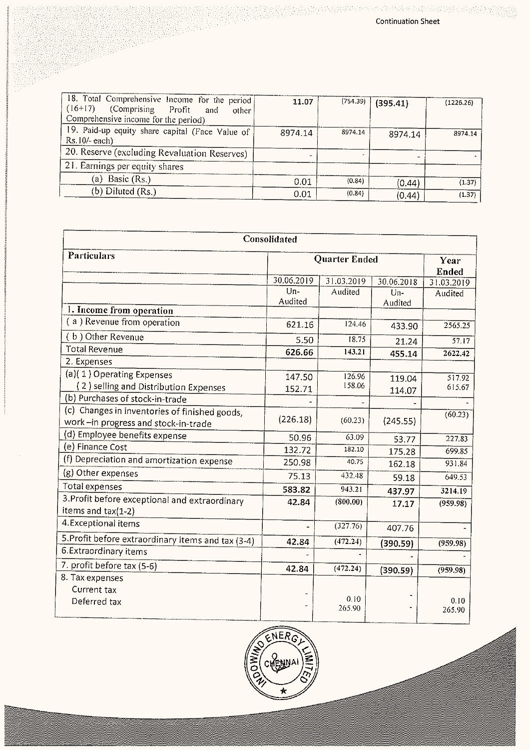| 18. Total Comprehensive Income for the period<br>$(16+17)$<br>(Comprising Profit)<br>and<br>other<br>Comprehensive income for the period) | 11.07   | (754.39) | (395.41) | (1226.26) |
|-------------------------------------------------------------------------------------------------------------------------------------------|---------|----------|----------|-----------|
| 19. Paid-up equity share capital (Face Value of<br>$Rs.10/- each$                                                                         | 8974.14 | 8974.14  | 8974.14  | 8974.14   |
| 20. Reserve (excluding Revaluation Reserves)                                                                                              |         |          |          |           |
| 21. Earnings per equity shares                                                                                                            |         |          |          |           |
| (a) Basic $(Rs.)$                                                                                                                         | 0.01    | (0.84)   | (0.44)   | (1.37)    |
| (b) Diluted $(Rs.)$                                                                                                                       | 0.01    | (0.84)   | (0.44)   | (1.37)    |

|                                                                                      | Consolidated  |                |            |                      |
|--------------------------------------------------------------------------------------|---------------|----------------|------------|----------------------|
| <b>Particulars</b>                                                                   | Quarter Ended |                |            | Year<br><b>Ended</b> |
|                                                                                      | 30.06.2019    | 31.03.2019     | 30.06.2018 | 31.03.2019           |
|                                                                                      | $Um-$         | Audited        | Un-        | Audited              |
| 1. Income from operation                                                             | Audited       |                | Audited    |                      |
| (a) Revenue from operation                                                           |               | 124.46         |            |                      |
|                                                                                      | 621.16        |                | 433.90     | 2565.25              |
| (b) Other Revenue                                                                    | 5.50          | 18.75          | 21.24      | $\overline{57.17}$   |
| <b>Total Revenue</b>                                                                 | 626.66        | 143.21         | 455.14     | 2622.42              |
| 2. Expenses                                                                          |               |                |            |                      |
| (a)(1) Operating Expenses                                                            | 147.50        | 126.96         | 119.04     | 517.92               |
| (2) selling and Distribution Expenses                                                | 152.71        | 158.06         | 114.07     | 615.67               |
| (b) Purchases of stock-in-trade                                                      |               |                |            |                      |
| (c) Changes in inventories of finished goods,<br>work-in progress and stock-in-trade | (226.18)      | (60.23)        | (245.55)   | (60.23)              |
| (d) Employee benefits expense                                                        |               | 63.09          |            |                      |
| (e) Finance Cost                                                                     | 50.96         | 182.10         | 53.77      | 227.83               |
| (f) Depreciation and amortization expense                                            | 132.72        |                | 175.28     | 699.85               |
|                                                                                      | 250.98        | 40.75          | 162.18     | 931.84               |
| (g) Other expenses                                                                   | 75.13         | 432.48         | 59.18      | 649.53               |
| <b>Total expenses</b>                                                                | 583.82        | 943.21         | 437.97     | 3214.19              |
| 3. Profit before exceptional and extraordinary<br>items and $tax(1-2)$               | 42.84         | (800.00)       | 17.17      | (959.98)             |
| 4. Exceptional items                                                                 | ٠             | (327.76)       | 407.76     |                      |
| 5. Profit before extraordinary items and tax (3-4)                                   | 42.84         | (472.24)       | (390.59)   | (959.98)             |
| 6.Extraordinary items                                                                |               |                |            |                      |
| 7. profit before tax (5-6)                                                           | 42.84         | (472.24)       | (390.59)   | (959.98)             |
| 8. Tax expenses                                                                      |               |                |            |                      |
| Current tax                                                                          |               |                |            |                      |
| Deferred tax                                                                         |               | 0.10<br>265.90 |            | 0.10<br>265.90       |